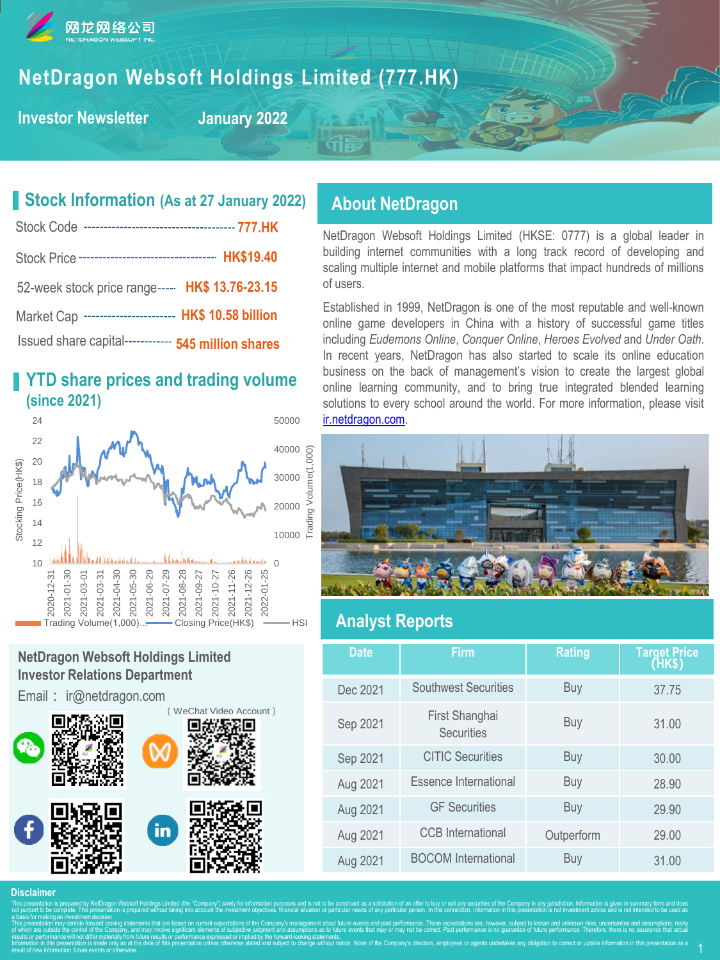

# **NetDragon Websoft Holdings Limited (777.HK)**

**Investor Newsletter**

**January 2022**

# **Stock Information (As at 27 January 2022)**

| Stock Price ----------------------------------- HK\$19.40 |
|-----------------------------------------------------------|
| 52-week stock price range----- HK\$ 13.76-23.15           |
| Market Cap ----------------------- HK\$ 10.58 billion     |
| Issued share capital------------ 545 million shares       |

# **YTD share prices and trading volume (since 2021)**



# **NetDragon Websoft Holdings Limited Investor Relations Department**

Email: ir@netdragon.com



# **About NetDragon**

NetDragon Websoft Holdings Limited (HKSE: 0777) is a global leader in building internet communities with a long track record of developing and scaling multiple internet and mobile platforms that impact hundreds of millions of users.

Established in 1999, NetDragon is one of the most reputable and well-known online game developers in China with a history of successful game titles including *Eudemons Online*, *Conquer Online*, *Heroes Evolved* and *Under Oath*. In recent years, NetDragon has also started to scale its online education business on the back of management's vision to create the largest global online learning community, and to bring true integrated blended learning solutions to every school around the world. For more information, please visit [ir.netdragon.com.](ir.netdragon.com)



# **Analyst Reports**

| <b>Date</b> | <b>Firm</b>                  | <b>Rating</b> | Target Price<br>(HK\$) |
|-------------|------------------------------|---------------|------------------------|
| Dec 2021    | <b>Southwest Securities</b>  | Buy           | 37.75                  |
| Sep 2021    | First Shanghai<br>Securities | Buy           | 31.00                  |
| Sep 2021    | <b>CITIC Securities</b>      | Buy           | 30.00                  |
| Aug 2021    | Essence International        | Buy           | 28.90                  |
| Aug 2021    | <b>GF</b> Securities         | Buy           | 29.90                  |
| Aug 2021    | <b>CCB</b> International     | Outperform    | 29.00                  |
| Aug 2021    | <b>BOCOM</b> International   | Buy           | 31.00                  |

#### **Disclaimer**

This presentation is prepared by NetDragon Websoft Holdings Limited (the "Company") solely for information purposes and is not to be construed as a solicitation of an offer to buy or sell any securities of the Company in a not purport to be complete. This presentation is prepared without taking into account the investment objectives, financial situation or particular needs of any particular person. In this connection, information in this pre a basis for making an investment decision. This presentation may contain forward looking statements that are based on current expectations of the Company's management about future events and past performance. These expectations are, however, subject to known and un of which are outside the control of the Company, and may involve significant elements of subjective judgment and assumptions as to future events that may or may not be correct. Past performance is no guarantee of future pe results or performance will not differ materially from future results or performance expressed or implied by the forward-looking statements. Information in this presentation is made only as at the date of this presentation unless otherwise stated and subject to change without notice. None of the Company's directors, employees or agents undertakes any obligation result of new information, future events or otherwise.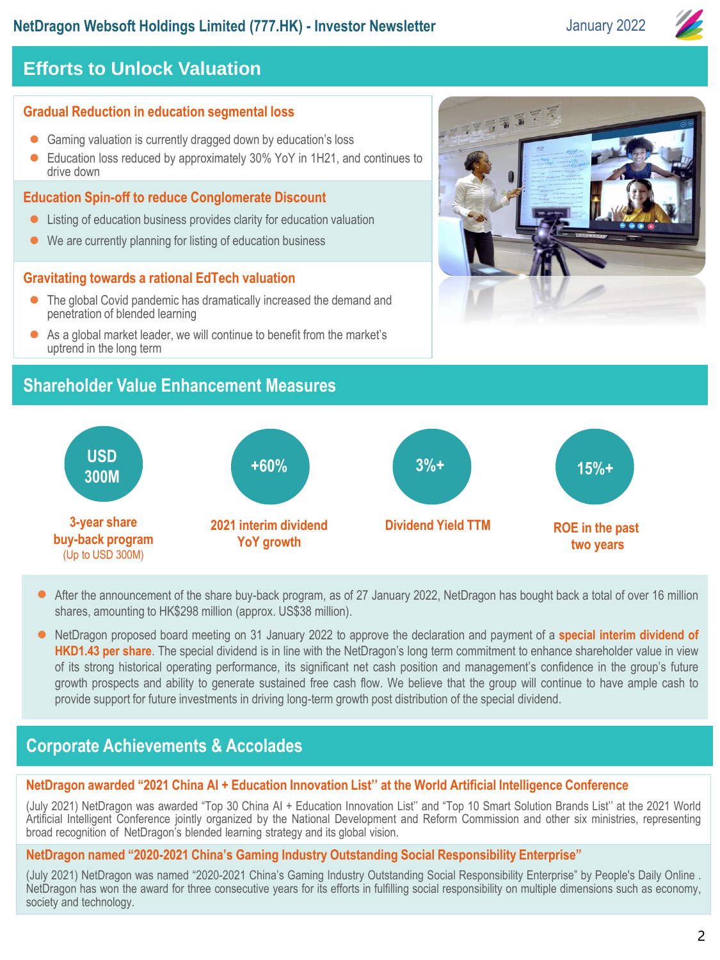# **NetDragon Websoft Holdings Limited (777.HK) - Investor Newsletter <b>January 2022**

# **Efforts to Unlock Valuation**

# **Gradual Reduction in education segmental loss**

- Gaming valuation is currently dragged down by education's loss
- ⚫ Education loss reduced by approximately 30% YoY in 1H21, and continues to drive down

### **Education Spin-off to reduce Conglomerate Discount**

- Listing of education business provides clarity for education valuation
- ⚫ We are currently planning for listing of education business

### **Gravitating towards a rational EdTech valuation**

- The global Covid pandemic has dramatically increased the demand and penetration of blended learning
- As a global market leader, we will continue to benefit from the market's uptrend in the long term

# **Shareholder Value Enhancement Measures**



#### **USD 300M 3-year share buy-back program**  (Up to USD 300M) **+60% 2021 interim dividend YoY growth 3%+ Dividend Yield TTM ROE in the past two years 15%+**

- After the announcement of the share buy-back program, as of 27 January 2022, NetDragon has bought back a total of over 16 million shares, amounting to HK\$298 million (approx. US\$38 million).
- ⚫ NetDragon proposed board meeting on 31 January 2022 to approve the declaration and payment of a **special interim dividend of HKD1.43 per share**. The special dividend is in line with the NetDragon's long term commitment to enhance shareholder value in view of its strong historical operating performance, its significant net cash position and management's confidence in the group's future growth prospects and ability to generate sustained free cash flow. We believe that the group will continue to have ample cash to provide support for future investments in driving long-term growth post distribution of the special dividend.

# **2020 Corporate Achievements & Accolades**

# **NetDragon awarded "2021 China AI + Education Innovation List'' at the World Artificial Intelligence Conference**

(July 2021) NetDragon was awarded "Top 30 China AI + Education Innovation List'' and "Top 10 Smart Solution Brands List'' at the 2021 World Artificial Intelligent Conference jointly organized by the National Development and Reform Commission and other six ministries, representing broad recognition of NetDragon's blended learning strategy and its global vision.

### **NetDragon named "2020-2021 China's Gaming Industry Outstanding Social Responsibility Enterprise"**

(July 2021) NetDragon was named "2020-2021 China's Gaming Industry Outstanding Social Responsibility Enterprise" by People's Daily Online . NetDragon has won the award for three consecutive years for its efforts in fulfilling social responsibility on multiple dimensions such as economy, society and technology.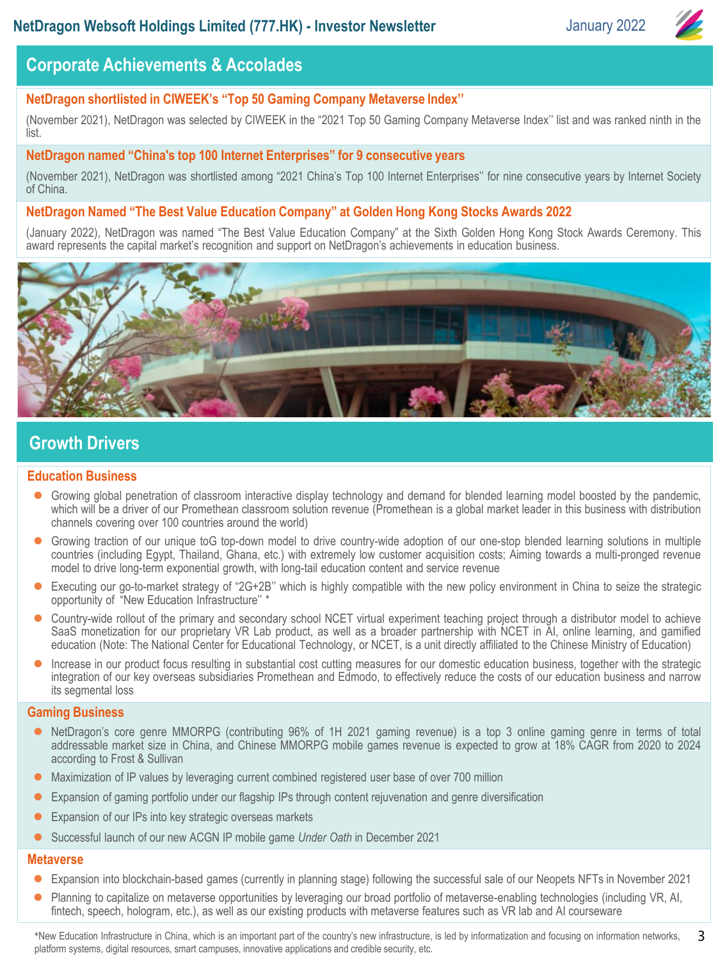

# **2020** Corporate Achievements & Accolades

### **NetDragon shortlisted in CIWEEK's "Top 50 Gaming Company Metaverse Index''**

(November 2021), NetDragon was selected by CIWEEK in the "2021 Top 50 Gaming Company Metaverse Index'' list and was ranked ninth in the list.

#### **NetDragon named "China's top 100 Internet Enterprises" for 9 consecutive years**

(November 2021), NetDragon was shortlisted among "2021 China's Top 100 Internet Enterprises'' for nine consecutive years by Internet Society of China.

### **NetDragon Named "The Best Value Education Company" at Golden Hong Kong Stocks Awards 2022**

(January 2022), NetDragon was named "The Best Value Education Company" at the Sixth Golden Hong Kong Stock Awards Ceremony. This award represents the capital market's recognition and support on NetDragon's achievements in education business.



# **Growth Drivers**

#### **Education Business**

- Growing global penetration of classroom interactive display technology and demand for blended learning model boosted by the pandemic, which will be a driver of our Promethean classroom solution revenue (Promethean is a global market leader in this business with distribution channels covering over 100 countries around the world)
- Growing traction of our unique toG top-down model to drive country-wide adoption of our one-stop blended learning solutions in multiple countries (including Egypt, Thailand, Ghana, etc.) with extremely low customer acquisition costs; Aiming towards a multi-pronged revenue model to drive long-term exponential growth, with long-tail education content and service revenue
- ⚫ Executing our go-to-market strategy of "2G+2B'' which is highly compatible with the new policy environment in China to seize the strategic opportunity of "New Education Infrastructure'' \*
- Country-wide rollout of the primary and secondary school NCET virtual experiment teaching project through a distributor model to achieve SaaS monetization for our proprietary VR Lab product, as well as a broader partnership with NCET in AI, online learning, and gamified education (Note: The National Center for Educational Technology, or NCET, is a unit directly affiliated to the Chinese Ministry of Education)
- ⚫ Increase in our product focus resulting in substantial cost cutting measures for our domestic education business, together with the strategic integration of our key overseas subsidiaries Promethean and Edmodo, to effectively reduce the costs of our education business and narrow its segmental loss

#### **Gaming Business**

- ⚫ NetDragon's core genre MMORPG (contributing 96% of 1H 2021 gaming revenue) is a top 3 online gaming genre in terms of total addressable market size in China, and Chinese MMORPG mobile games revenue is expected to grow at 18% CAGR from 2020 to 2024 according to Frost & Sullivan
- ⚫ Maximization of IP values by leveraging current combined registered user base of over 700 million
- ⚫ Expansion of gaming portfolio under our flagship IPs through content rejuvenation and genre diversification
- ⚫ Expansion of our IPs into key strategic overseas markets
- ⚫ Successful launch of our new ACGN IP mobile game *Under Oath* in December 2021

#### **Metaverse**

- ⚫ Expansion into blockchain-based games (currently in planning stage) following the successful sale of our Neopets NFTs in November 2021
- Planning to capitalize on metaverse opportunities by leveraging our broad portfolio of metaverse-enabling technologies (including VR, AI, fintech, speech, hologram, etc.), as well as our existing products with metaverse features such as VR lab and AI courseware

\*New Education Infrastructure in China, which is an important part of the country's new infrastructure, is led by informatization and focusing on information networks, platform systems, digital resources, smart campuses, innovative applications and credible security, etc. 3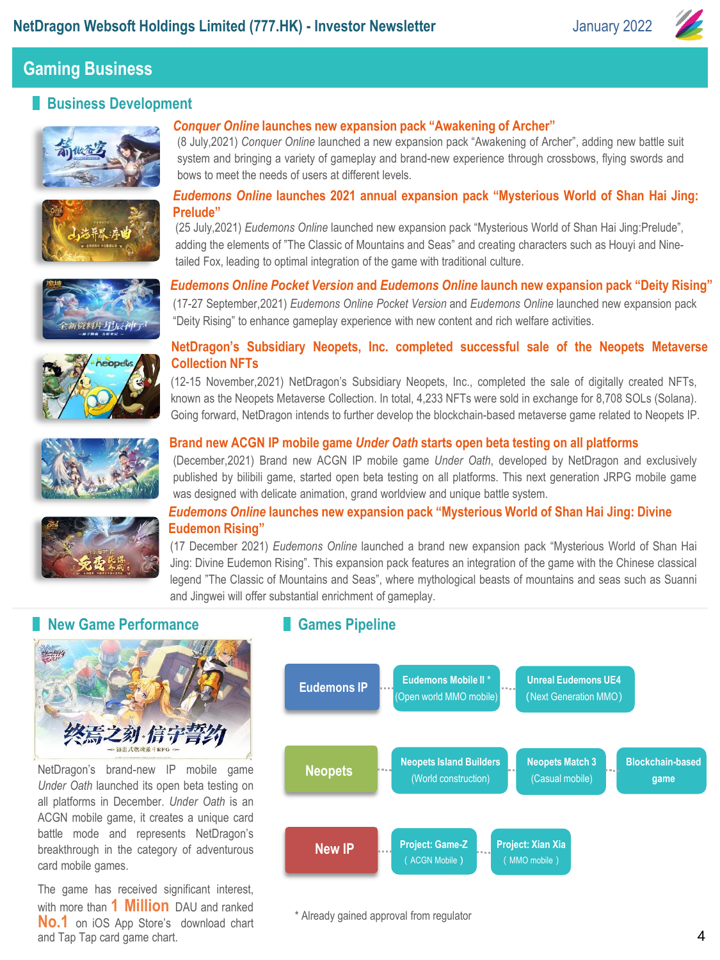

# **Business Development**



### *Conquer Online* **launches new expansion pack "Awakening of Archer"**

(8 July,2021) *Conquer Online* launched a new expansion pack "Awakening of Archer", adding new battle suit system and bringing a variety of gameplay and brand-new experience through crossbows, flying swords and bows to meet the needs of users at different levels.



#### *Eudemons Online* **launches 2021 annual expansion pack "Mysterious World of Shan Hai Jing: Prelude"**

(25 July,2021) *Eudemons Online* launched new expansion pack "Mysterious World of Shan Hai Jing:Prelude", adding the elements of "The Classic of Mountains and Seas" and creating characters such as Houyi and Ninetailed Fox, leading to optimal integration of the game with traditional culture.





# **NetDragon's Subsidiary Neopets, Inc. completed successful sale of the Neopets Metaverse Collection NFTs**

*Eudemons Online Pocket Version* **and** *Eudemons Online* **launch new expansion pack "Deity Rising"** (17-27 September,2021) *Eudemons Online Pocket Version* and *Eudemons Online* launched new expansion pack

(12-15 November,2021) NetDragon's Subsidiary Neopets, Inc., completed the sale of digitally created NFTs, known as the Neopets Metaverse Collection. In total, 4,233 NFTs were sold in exchange for 8,708 SOLs (Solana). Going forward, NetDragon intends to further develop the blockchain-based metaverse game related to Neopets IP.



#### **Brand new ACGN IP mobile game** *Under Oath* **starts open beta testing on all platforms**

"Deity Rising" to enhance gameplay experience with new content and rich welfare activities.

(December,2021) Brand new ACGN IP mobile game *Under Oath*, developed by NetDragon and exclusively published by bilibili game, started open beta testing on all platforms. This next generation JRPG mobile game was designed with delicate animation, grand worldview and unique battle system.



#### *Eudemons Online* **launches new expansion pack "Mysterious World of Shan Hai Jing: Divine Eudemon Rising"**

(17 December 2021) *Eudemons Online* launched a brand new expansion pack "Mysterious World of Shan Hai Jing: Divine Eudemon Rising". This expansion pack features an integration of the game with the Chinese classical legend "The Classic of Mountains and Seas", where mythological beasts of mountains and seas such as Suanni and Jingwei will offer substantial enrichment of gameplay.

# **New Game Performance**



NetDragon's brand-new IP mobile game *Under Oath* launched its open beta testing on all platforms in December. *Under Oath* is an ACGN mobile game, it creates a unique card battle mode and represents NetDragon's breakthrough in the category of adventurous card mobile games.

The game has received significant interest, with more than **1 Million** DAU and ranked **No.1** on iOS App Store's download chart and Tap Tap card game chart.

### **Games Pipeline**



\* Already gained approval from regulator